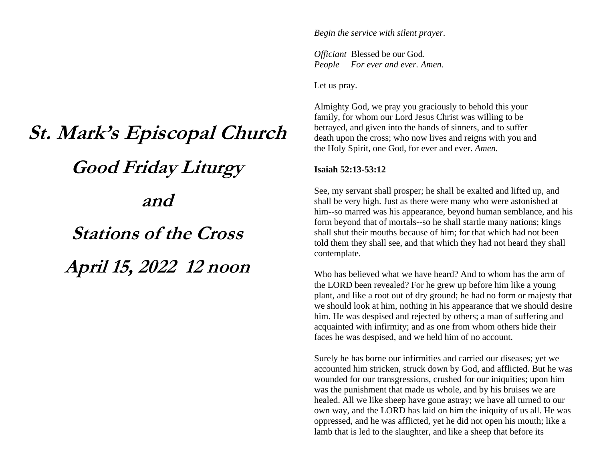# **St. Mark's Episcopal Church Good Friday Liturgy and Stations of the Cross April 15, 2022 12 noon**

*Begin the service with silent prayer.*

*Officiant* Blessed be our God. *People For ever and ever. Amen.*

Let us pray.

Almighty God, we pray you graciously to behold this your family, for whom our Lord Jesus Christ was willing to be betrayed, and given into the hands of sinners, and to suffer death upon the cross; who now lives and reigns with you and the Holy Spirit, one God, for ever and ever. *Amen.*

# **Isaiah 52:13-53:12**

See, my servant shall prosper; he shall be exalted and lifted up, and shall be very high. Just as there were many who were astonished at him--so marred was his appearance, beyond human semblance, and his form beyond that of mortals--so he shall startle many nations; kings shall shut their mouths because of him; for that which had not been told them they shall see, and that which they had not heard they shall contemplate.

Who has believed what we have heard? And to whom has the arm of the LORD been revealed? For he grew up before him like a young plant, and like a root out of dry ground; he had no form or majesty that we should look at him, nothing in his appearance that we should desire him. He was despised and rejected by others; a man of suffering and acquainted with infirmity; and as one from whom others hide their faces he was despised, and we held him of no account.

Surely he has borne our infirmities and carried our diseases; yet we accounted him stricken, struck down by God, and afflicted. But he was wounded for our transgressions, crushed for our iniquities; upon him was the punishment that made us whole, and by his bruises we are healed. All we like sheep have gone astray; we have all turned to our own way, and the LORD has laid on him the iniquity of us all. He was oppressed, and he was afflicted, yet he did not open his mouth; like a lamb that is led to the slaughter, and like a sheep that before its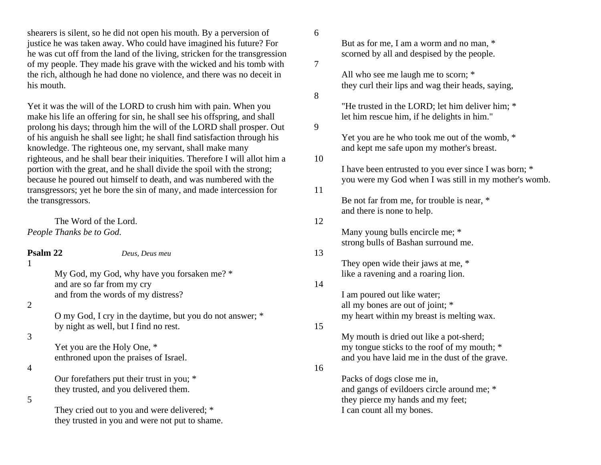shearers is silent, so he did not open his mouth. By a perversion of justice he was taken away. Who could have imagined his future? For he was cut off from the land of the living, stricken for the transgression of my people. They made his grave with the wicked and his tomb with the rich, although he had done no violence, and there was no deceit in his mouth.

Yet it was the will of the LORD to crush him with pain. When you make his life an offering for sin, he shall see his offspring, and shall prolong his days; through him the will of the LORD shall prosper. Out of his anguish he shall see light; he shall find satisfaction through his knowledge. The righteous one, my servant, shall make many righteous, and he shall bear their iniquities. Therefore I will allot him a portion with the great, and he shall divide the spoil with the strong; because he poured out himself to death, and was numbered with the transgressors; yet he bore the sin of many, and made intercession for the transgressors.

 The Word of the Lord. *People Thanks be to God.*

1

**Psalm 22** *Deus, Deus meu*

My God, my God, why have you forsaken me? \* and are so far from my cry and from the words of my distress?

2

O my God, I cry in the daytime, but you do not answer; \* by night as well, but I find no rest.

3

Yet you are the Holy One, \* enthroned upon the praises of Israel.

4

5

Our forefathers put their trust in you; \* they trusted, and you delivered them.

They cried out to you and were delivered; \* they trusted in you and were not put to shame. 6

7

8

9

But as for me, I am a worm and no man, \* scorned by all and despised by the people.

All who see me laugh me to scorn; \* they curl their lips and wag their heads, saying,

"He trusted in the LORD; let him deliver him; \* let him rescue him, if he delights in him."

Yet you are he who took me out of the womb, \* and kept me safe upon my mother's breast.

10

11

I have been entrusted to you ever since I was born; \* you were my God when I was still in my mother's womb.

Be not far from me, for trouble is near, \* and there is none to help.

12

Many young bulls encircle me; \* strong bulls of Bashan surround me.

#### 13

They open wide their jaws at me, \* like a ravening and a roaring lion.

#### 14

I am poured out like water; all my bones are out of joint; \* my heart within my breast is melting wax.

15

My mouth is dried out like a pot-sherd; my tongue sticks to the roof of my mouth; \* and you have laid me in the dust of the grave.

16

Packs of dogs close me in, and gangs of evildoers circle around me; \* they pierce my hands and my feet; I can count all my bones.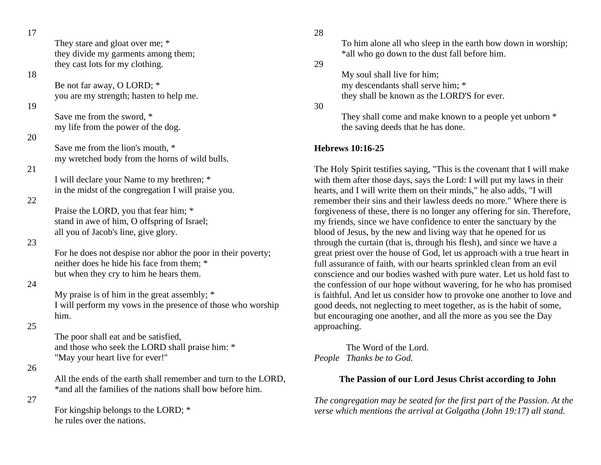17

They stare and gloat over me; \* they divide my garments among them; they cast lots for my clothing.

18

Be not far away, O LORD; \* you are my strength; hasten to help me.

19

Save me from the sword, \* my life from the power of the dog.

Save me from the lion's mouth, \* my wretched body from the horns of wild bulls.

21

20

I will declare your Name to my brethren; \* in the midst of the congregation I will praise you.

22

Praise the LORD, you that fear him; \* stand in awe of him, O offspring of Israel; all you of Jacob's line, give glory.

23

For he does not despise nor abhor the poor in their poverty; neither does he hide his face from them; \* but when they cry to him he hears them.

24

My praise is of him in the great assembly; \* I will perform my vows in the presence of those who worship him.

25

The poor shall eat and be satisfied, and those who seek the LORD shall praise him: \* "May your heart live for ever!"

26

27

All the ends of the earth shall remember and turn to the LORD, \*and all the families of the nations shall bow before him.

For kingship belongs to the LORD; \* he rules over the nations.

28

To him alone all who sleep in the earth bow down in worship; \*all who go down to the dust fall before him.

29

My soul shall live for him; my descendants shall serve him; \* they shall be known as the LORD'S for ever.

30

They shall come and make known to a people yet unborn  $*$ the [saving](http://www.lectionarypage.net/YearABC_RCL/HolyWk/GoodFri_RCL.html) deeds that he has done.

# **Hebrews 10:16-25**

The Holy Spirit testifies saying, "This is the covenant that I will make with them after those days, says the Lord: I will put my laws in their hearts, and I will write them on their minds," he also adds, "I will remember their sins and their lawless deeds no more." Where there is forgiveness of these, there is no [longer](http://www.lectionarypage.net/YearABC_RCL/HolyWk/GoodFri_RCL.html) any offering for sin. Therefore, my friends, since we have confidence to enter the sanctuary by the blood of Jesus, by the new and living way that he opened for us through the curtain (that is, through his flesh), and since we have a great priest over the house of God, let us approach with a true heart in full assurance of faith, with our hearts sprinkled clean from an evil conscience and our bodies washed with pure water. Let us hold fast to the confession of our hope without wavering, for he who has promised is faithful. And let us consider how to provoke one another to love and good deeds, not neglecting to meet together, as is the habit of some, but encouraging one another, and all the more as you see the Day approaching.

 The Word of the Lord. *People Thanks be to God.*

# **The Passion of our Lord Jesus Christ according to John**

*The congregation may be seated for the first part of the Passion. At the verse which mentions the arrival at Golgatha (John 19:17) all stand.*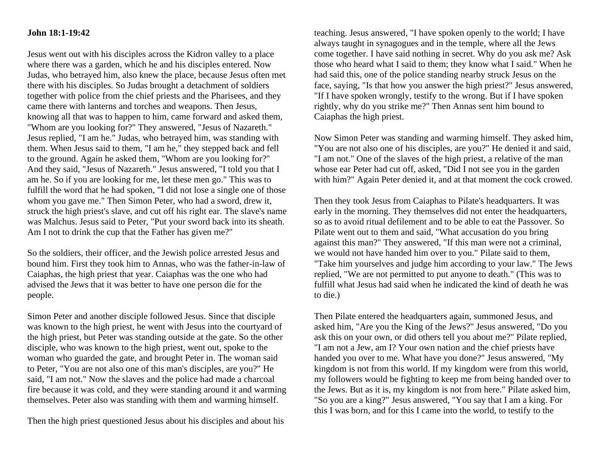#### **John 18:1-19:42**

Jesus went out with his disciples across the Kidron valley to a place where there was a garden, which he and his disciples entered. Now Judas, who betrayed him, also knew the place, because Jesus often met there with his disciples. So Judas brought a detachment of soldiers together with police from the chief priests and the Pharisees, and they came there with lanterns and torches and weapons. Then Jesus, knowing all that was to happen to him, came forward and asked them, "Whom are you looking for?" They answered, "Jesus of Nazareth." Jesus replied, "I am he." Judas, who betrayed him, was standing with them. When Jesus said to them, "I am he," they stepped back and fell to the ground. Again he asked them, "Whom are you looking for?" And they said, "Jesus of Nazareth." Jesus answered, "I told you that I am he. So if you are looking for me, let these men go." This was to fulfill the word that he had spoken, "I did not lose a single one of those whom you gave me." Then Simon Peter, who had a sword, drew it, struck the high priest's slave, and cut off his right ear. The slave's name was Malchus. Jesus said to Peter, "Put your sword back into its sheath. Am I not to drink the cup that the Father has given me?"

So the soldiers, their officer, and the Jewish police arrested Jesus and bound him. First they took him to Annas, who was the father-in-law of Caiaphas, the high priest that year. Caiaphas was the one who had advised the Jews that it was better to have one person die for the people.

Simon Peter and another disciple followed Jesus. Since that disciple was known to the high priest, he went with Jesus into the courtyard of the high priest, but Peter was standing outside at the gate. So the other disciple, who was known to the high priest, went out, spoke to the woman who guarded the gate, and brought Peter in. The woman said to Peter, "You are not also one of this man's disciples, are you?" He said, "I am not." Now the slaves and the police had made a charcoal fire because it was cold, and they were standing around it and warming themselves. Peter also was standing with them and warming himself.

Then the high priest questioned Jesus about his disciples and about his

teaching. Jesus answered, "I have spoken openly to the world; I have always taught in synagogues and in the temple, where all the Jews come together. I have said nothing in secret. Why do you ask me? Ask those who heard what I said to them; they know what I said." When he had said this, one of the police standing nearby struck Jesus on the face, saying, "Is that how you answer the high priest?" Jesus answered, "If I have spoken wrongly, testify to the wrong. But if I have spoken rightly, why do you strike me?" Then Annas sent him bound to Caiaphas the high priest.

Now Simon Peter was standing and warming himself. They asked him, "You are not also one of his disciples, are you?" He denied it and said, "I am not." One of the slaves of the high priest, a relative of the man whose ear Peter had cut off, asked, "Did I not see you in the garden with him?" Again Peter denied it, and at that moment the cock crowed.

Then they took Jesus from Caiaphas to Pilate's headquarters. It was early in the morning. They themselves did not enter the headquarters, so as to avoid ritual defilement and to be able to eat the Passover. So Pilate went out to them and said, "What accusation do you bring against this man?" They answered, "If this man were not a criminal, we would not have handed him over to you." Pilate said to them, "Take him yourselves and judge him according to your law." The Jews replied, "We are not permitted to put anyone to death." (This was to fulfill what Jesus had said when he indicated the kind of death he was to die.)

Then Pilate entered the headquarters again, summoned Jesus, and asked him, "Are you the King of the Jews?" Jesus answered, "Do you ask this on your own, or did others tell you about me?" Pilate replied, "I am not a Jew, am I? Your own nation and the chief priests have handed you over to me. What have you done?" Jesus answered, "My kingdom is not from this world. If my kingdom were from this world, my followers would be fighting to keep me from being handed over to the Jews. But as it is, my kingdom is not from here." Pilate asked him, "So you are a king?" Jesus answered, "You say that I am a king. For this I was born, and for this I came into the world, to testify to the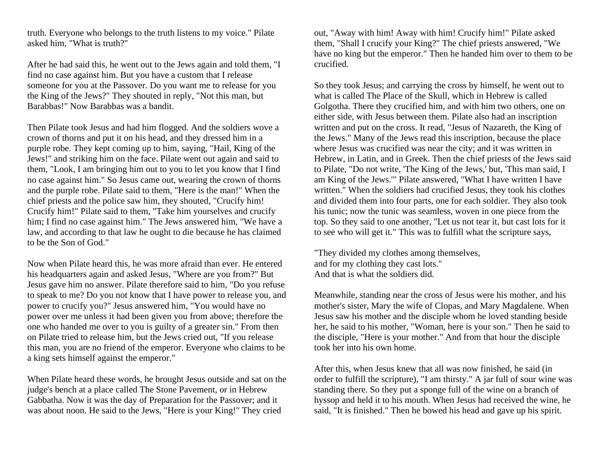truth. Everyone who belongs to the truth listens to my voice." Pilate asked him, "What is truth?"

After he had said this, he went out to the Jews again and told them, "I find no case against him. But you have a custom that I release someone for you at the Passover. Do you want me to release for you the King of the Jews?" They shouted in reply, "Not this man, but Barabbas!" Now Barabbas was a bandit.

Then Pilate took Jesus and had him flogged. And the soldiers wove a crown of thorns and put it on his head, and they dressed him in a purple robe. They kept coming up to him, saying, "Hail, King of the Jews!" and striking him on the face. Pilate went out again and said to them, "Look, I am bringing him out to you to let you know that I find no case against him." So Jesus came out, wearing the crown of thorns and the purple robe. Pilate said to them, "Here is the man!" When the chief priests and the police saw him, they shouted, "Crucify him! Crucify him!" Pilate said to them, "Take him yourselves and crucify him; I find no case against him." The Jews answered him, "We have a law, and according to that law he ought to die because he has claimed to be the Son of God."

Now when Pilate heard this, he was more afraid than ever. He entered his headquarters again and asked Jesus, "Where are you from?" But Jesus gave him no answer. Pilate therefore said to him, "Do you refuse to speak to me? Do you not know that I have power to release you, and power to crucify you?" Jesus answered him, "You would have no power over me unless it had been given you from above; therefore the one who handed me over to you is guilty of a greater sin." From then on Pilate tried to release him, but the Jews cried out, "If you release this man, you are no friend of the emperor. Everyone who claims to be a king sets himself against the emperor."

When Pilate heard these words, he brought Jesus outside and sat on the judge's bench at a place called The Stone Pavement, or in Hebrew Gabbatha. Now it was the day of Preparation for the Passover; and it was about noon. He said to the Jews, "Here is your King!" They cried

out, "Away with him! Away with him! Crucify him!" Pilate asked them, "Shall I crucify your King?" The chief priests answered, "We have no king but the emperor." Then he handed him over to them to be crucified.

So they took Jesus; and carrying the cross by himself, he went out to what is called The Place of the Skull, which in Hebrew is called Golgotha. There they crucified him, and with him two others, one on either side, with Jesus between them. Pilate also had an inscription written and put on the cross. It read, "Jesus of Nazareth, the King of the Jews." Many of the Jews read this inscription, because the place where Jesus was crucified was near the city; and it was written in Hebrew, in Latin, and in Greek. Then the chief priests of the Jews said to Pilate, "Do not write, 'The King of the Jews,' but, 'This man said, I am King of the Jews.'" Pilate answered, "What I have written I have written." When the soldiers had crucified Jesus, they took his clothes and divided them into four parts, one for each soldier. They also took his tunic; now the tunic was seamless, woven in one piece from the top. So they said to one another, "Let us not tear it, but cast lots for it to see who will get it." This was to fulfill what the scripture says,

"They divided my clothes among themselves, and for my clothing they cast lots." And that is what the soldiers did.

Meanwhile, standing near the cross of Jesus were his mother, and his mother's sister, Mary the wife of Clopas, and Mary Magdalene. When Jesus saw his mother and the disciple whom he loved standing beside her, he said to his mother, "Woman, here is your son." Then he said to the disciple, "Here is your mother." And from that hour the disciple took her into his own home.

After this, when Jesus knew that all was now finished, he said (in order to fulfill the scripture), "I am thirsty." A jar full of sour wine was standing there. So they put a sponge full of the wine on a branch of hyssop and held it to his mouth. When Jesus had received the wine, he said, "It is finished." Then he bowed his head and gave up his spirit.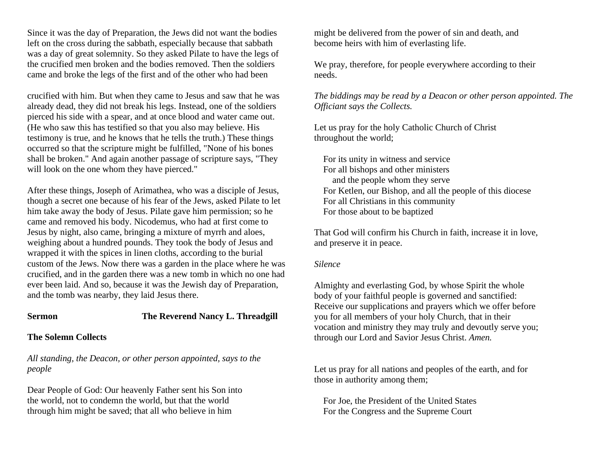Since it was the day of Preparation, the Jews did not want the bodies left on the cross during the sabbath, especially because that sabbath was a day of great solemnity. So they asked Pilate to have the legs of the crucified men broken and the bodies removed. Then the soldiers came and broke the legs of the first and of the other who had been

crucified with him. But when they came to Jesus and saw that he was already dead, they did not break his legs. Instead, one of the soldiers pierced his side with a spear, and at once blood and water came out. (He who saw this has testified so that you also may believe. His testimony is true, and he knows that he tells the truth.) These things occurred so that the scripture might be fulfilled, "None of his bones shall be broken." And again another passage of scripture says, "They will look on the one whom they have pierced."

After these things, Joseph of Arimathea, who was a disciple of Jesus, though a secret one because of his fear of the Jews, asked Pilate to let him take away the body of Jesus. Pilate gave him permission; so he came and removed his body. Nicodemus, who had at first come to Jesus by night, also came, bringing a mixture of myrrh and aloes, weighing about a hundred pounds. They took the body of Jesus and wrapped it with the spices in linen cloths, according to the burial custom of the Jews. Now there was a garden in the place where he was crucified, and in the garden there was a new tomb in which no one had ever been laid. And so, because it was the Jewish day of Preparation, and the tomb was nearby, they laid Jesus there.

### **Sermon The Reverend Nancy L. Threadgill**

# **The Solemn Collects**

*All standing, the Deacon, or other person appointed, says to the people*

Dear People of God: Our heavenly Father sent his Son into the world, not to condemn the world, but that the world through him might be saved; that all who believe in him

might be delivered from the power of sin and death, and become heirs with him of everlasting life.

We pray, therefore, for people everywhere according to their needs.

*The biddings may be read by a Deacon or other person appointed. The Officiant says the Collects.*

Let us pray for the holy Catholic Church of Christ throughout the world;

 For its unity in witness and service For all bishops and other ministers and the people whom they serve For Ketlen, our Bishop, and all the people of this diocese For all Christians in this community For those about to be baptized

That God will confirm his Church in faith, increase it in love, and preserve it in peace.

#### *Silence*

Almighty and everlasting God, by whose Spirit the whole body of your faithful people is governed and sanctified: Receive our supplications and prayers which we offer before you for all members of your holy Church, that in their vocation and ministry they may truly and devoutly serve you; through our Lord and Savior Jesus Christ. *Amen.*

Let us pray for all nations and peoples of the earth, and for those in authority among them;

 For Joe, the President of the United States For the Congress and the Supreme Court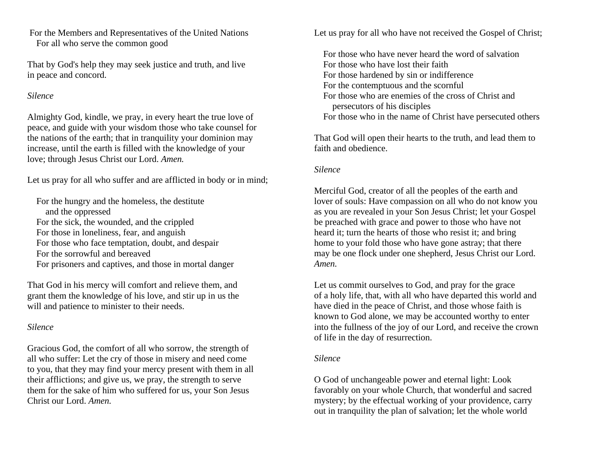For the Members and Representatives of the United Nations For all who serve the common good

That by God's help they may seek justice and truth, and live in peace and concord.

### *Silence*

Almighty God, kindle, we pray, in every heart the true love of peace, and guide with your wisdom those who take counsel for the nations of the earth; that in tranquility your dominion may increase, until the earth is filled with the knowledge of your love; through Jesus Christ our Lord. *Amen.*

Let us pray for all who suffer and are afflicted in body or in mind;

 For the hungry and the homeless, the destitute and the oppressed For the sick, the wounded, and the crippled For those in loneliness, fear, and anguish For those who face temptation, doubt, and despair For the sorrowful and bereaved For prisoners and captives, and those in mortal danger

That God in his mercy will comfort and relieve them, and grant them the knowledge of his love, and stir up in us the will and patience to minister to their needs.

#### *Silence*

Gracious God, the comfort of all who sorrow, the strength of all who suffer: Let the cry of those in misery and need come to you, that they may find your mercy present with them in all their afflictions; and give us, we pray, the strength to serve them for the sake of him who suffered for us, your Son Jesus Christ our Lord. *Amen.*

Let us pray for all who have not received the Gospel of Christ;

 For those who have never heard the word of salvation For those who have lost their faith For those hardened by sin or indifference For the contemptuous and the scornful For those who are enemies of the cross of Christ and persecutors of his disciples For those who in the name of Christ have persecuted others

That God will open their hearts to the truth, and lead them to faith and obedience.

#### *Silence*

Merciful God, creator of all the peoples of the earth and lover of souls: Have compassion on all who do not know you as you are revealed in your Son Jesus Christ; let your Gospel be preached with grace and power to those who have not heard it; turn the hearts of those who resist it; and bring home to your fold those who have gone astray; that there may be one flock under one shepherd, Jesus Christ our Lord. *Amen.*

Let us commit ourselves to God, and pray for the grace of a holy life, that, with all who have departed this world and have died in the peace of Christ, and those whose faith is known to God alone, we may be accounted worthy to enter into the fullness of the joy of our Lord, and receive the crown of life in the day of resurrection.

#### *Silence*

O God of unchangeable power and eternal light: Look favorably on your whole Church, that wonderful and sacred mystery; by the effectual working of your providence, carry out in tranquility the plan of salvation; let the whole world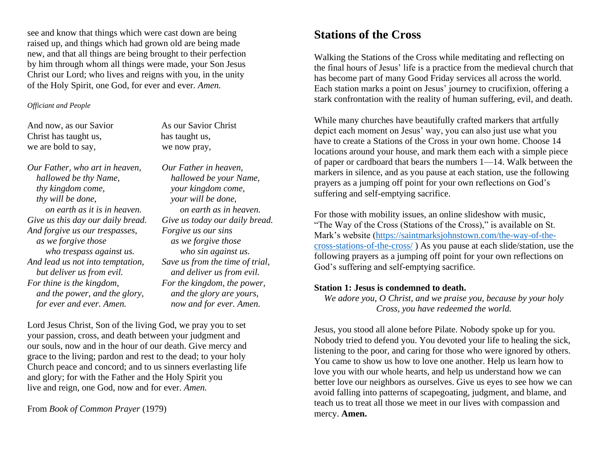see and know that things which were cast down are being raised up, and things which had grown old are being made new, and that all things are being brought to their perfection by him through whom all things were made, your Son Jesus Christ our Lord; who lives and reigns with you, in the unity of the Holy Spirit, one God, for ever and ever. *Amen.*

#### *Officiant and People*

And now, as our Savior As our Savior Christ Christ has taught us, has taught us, we are bold to say, we now pray,

*Our Father, who art in heaven, hallowed be thy Name, thy kingdom come, thy will be done, on earth as it is in heaven. Give us this day our daily bread. And forgive us our trespasses, as we forgive those who trespass against us. And lead us not into temptation, but deliver us from evil. For thine is the kingdom, and the power, and the glory, for ever and ever. Amen.*

*Our Father in heaven, hallowed be your Name, your kingdom come, your will be done, on earth as in heaven. Give us today our daily bread. Forgive us our sins as we forgive those who sin against us. Save us from the time of trial, and deliver us from evil. For the kingdom, the power, and the glory are yours, now and for ever. Amen.*

Lord Jesus Christ, Son of the living God, we pray you to set your passion, cross, and death between your judgment and our souls, now and in the hour of our death. Give mercy and grace to the living; pardon and rest to the dead; to your holy Church peace and concord; and to us sinners everlasting life and glory; for with the Father and the Holy Spirit you live and reign, one God, now and for ever. *Amen.*

From *Book of Common Prayer* (1979)

# **Stations of the Cross**

Walking the Stations of the Cross while meditating and reflecting on the final hours of Jesus' life is a practice from the medieval church that has become part of many Good Friday services all across the world. Each station marks a point on Jesus' journey to crucifixion, offering a stark confrontation with the reality of human suffering, evil, and death.

While many churches have beautifully crafted markers that artfully depict each moment on Jesus' way, you can also just use what you have to create a Stations of the Cross in your own home. Choose 14 locations around your house, and mark them each with a simple piece of paper or cardboard that bears the numbers 1—14. Walk between the markers in silence, and as you pause at each station, use the following prayers as a jumping off point for your own reflections on God's suffering and self-emptying sacrifice.

For those with mobility issues, an online slideshow with music, "The Way of the Cross (Stations of the Cross)," is available on St. Mark's website [\(https://saintmarksjohnstown.com/the-way-of-the](https://saintmarksjohnstown.com/the-way-of-the-cross-stations-of-the-cross/)[cross-stations-of-the-cross/](https://saintmarksjohnstown.com/the-way-of-the-cross-stations-of-the-cross/) ) As you pause at each slide/station, use the following prayers as a jumping off point for your own reflections on God's suffering and self-emptying sacrifice.

#### **Station 1: Jesus is condemned to death.**

*We adore you, O Christ, and we praise you, because by your holy Cross, you have redeemed the world.*

Jesus, you stood all alone before Pilate. Nobody spoke up for you. Nobody tried to defend you. You devoted your life to healing the sick, listening to the poor, and caring for those who were ignored by others. You came to show us how to love one another. Help us learn how to love you with our whole hearts, and help us understand how we can better love our neighbors as ourselves. Give us eyes to see how we can avoid falling into patterns of scapegoating, judgment, and blame, and teach us to treat all those we meet in our lives with compassion and mercy. **Amen.**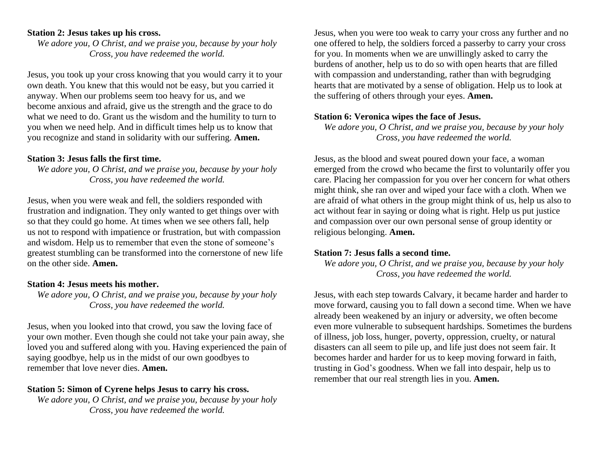### **Station 2: Jesus takes up his cross.**

*We adore you, O Christ, and we praise you, because by your holy Cross, you have redeemed the world.*

Jesus, you took up your cross knowing that you would carry it to your own death. You knew that this would not be easy, but you carried it anyway. When our problems seem too heavy for us, and we become anxious and afraid, give us the strength and the grace to do what we need to do. Grant us the wisdom and the humility to turn to you when we need help. And in difficult times help us to know that you recognize and stand in solidarity with our suffering. **Amen.**

### **Station 3: Jesus falls the first time.**

*We adore you, O Christ, and we praise you, because by your holy Cross, you have redeemed the world.*

Jesus, when you were weak and fell, the soldiers responded with frustration and indignation. They only wanted to get things over with so that they could go home. At times when we see others fall, help us not to respond with impatience or frustration, but with compassion and wisdom. Help us to remember that even the stone of someone's greatest stumbling can be transformed into the cornerstone of new life on the other side. **Amen.**

#### **Station 4: Jesus meets his mother.**

*We adore you, O Christ, and we praise you, because by your holy Cross, you have redeemed the world.*

Jesus, when you looked into that crowd, you saw the loving face of your own mother. Even though she could not take your pain away, she loved you and suffered along with you. Having experienced the pain of saying goodbye, help us in the midst of our own goodbyes to remember that love never dies. **Amen.**

#### **Station 5: Simon of Cyrene helps Jesus to carry his cross.**

*We adore you, O Christ, and we praise you, because by your holy Cross, you have redeemed the world.*

Jesus, when you were too weak to carry your cross any further and no one offered to help, the soldiers forced a passerby to carry your cross for you. In moments when we are unwillingly asked to carry the burdens of another, help us to do so with open hearts that are filled with compassion and understanding, rather than with begrudging hearts that are motivated by a sense of obligation. Help us to look at the suffering of others through your eyes. **Amen.**

# **Station 6: Veronica wipes the face of Jesus.**

*We adore you, O Christ, and we praise you, because by your holy Cross, you have redeemed the world.*

Jesus, as the blood and sweat poured down your face, a woman emerged from the crowd who became the first to voluntarily offer you care. Placing her compassion for you over her concern for what others might think, she ran over and wiped your face with a cloth. When we are afraid of what others in the group might think of us, help us also to act without fear in saying or doing what is right. Help us put justice and compassion over our own personal sense of group identity or religious belonging. **Amen.**

#### **Station 7: Jesus falls a second time.**

*We adore you, O Christ, and we praise you, because by your holy Cross, you have redeemed the world.*

Jesus, with each step towards Calvary, it became harder and harder to move forward, causing you to fall down a second time. When we have already been weakened by an injury or adversity, we often become even more vulnerable to subsequent hardships. Sometimes the burdens of illness, job loss, hunger, poverty, oppression, cruelty, or natural disasters can all seem to pile up, and life just does not seem fair. It becomes harder and harder for us to keep moving forward in faith, trusting in God's goodness. When we fall into despair, help us to remember that our real strength lies in you. **Amen.**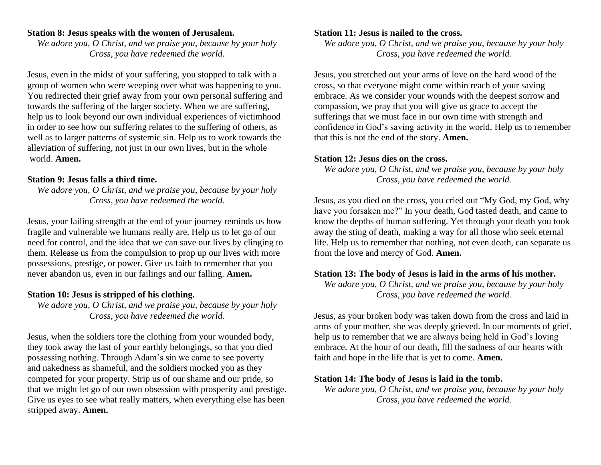#### **Station 8: Jesus speaks with the women of Jerusalem.**

*We adore you, O Christ, and we praise you, because by your holy Cross, you have redeemed the world.*

Jesus, even in the midst of your suffering, you stopped to talk with a group of women who were weeping over what was happening to you. You redirected their grief away from your own personal suffering and towards the suffering of the larger society. When we are suffering, help us to look beyond our own individual experiences of victimhood in order to see how our suffering relates to the suffering of others, as well as to larger patterns of systemic sin. Help us to work towards the alleviation of suffering, not just in our own lives, but in the whole world. **Amen.**

# **Station 9: Jesus falls a third time.**

*We adore you, O Christ, and we praise you, because by your holy Cross, you have redeemed the world.*

Jesus, your failing strength at the end of your journey reminds us how fragile and vulnerable we humans really are. Help us to let go of our need for control, and the idea that we can save our lives by clinging to them. Release us from the compulsion to prop up our lives with more possessions, prestige, or power. Give us faith to remember that you never abandon us, even in our failings and our falling. **Amen.**

# **Station 10: Jesus is stripped of his clothing.**

*We adore you, O Christ, and we praise you, because by your holy Cross, you have redeemed the world.*

Jesus, when the soldiers tore the clothing from your wounded body, they took away the last of your earthly belongings, so that you died possessing nothing. Through Adam's sin we came to see poverty and nakedness as shameful, and the soldiers mocked you as they competed for your property. Strip us of our shame and our pride, so that we might let go of our own obsession with prosperity and prestige. Give us eyes to see what really matters, when everything else has been stripped away. **Amen.**

#### **Station 11: Jesus is nailed to the cross.**

*We adore you, O Christ, and we praise you, because by your holy Cross, you have redeemed the world.*

Jesus, you stretched out your arms of love on the hard wood of the cross, so that everyone might come within reach of your saving embrace. As we consider your wounds with the deepest sorrow and compassion, we pray that you will give us grace to accept the sufferings that we must face in our own time with strength and confidence in God's saving activity in the world. Help us to remember that this is not the end of the story. **Amen.**

# **Station 12: Jesus dies on the cross.**

*We adore you, O Christ, and we praise you, because by your holy Cross, you have redeemed the world.*

Jesus, as you died on the cross, you cried out "My God, my God, why have you forsaken me?" In your death, God tasted death, and came to know the depths of human suffering. Yet through your death you took away the sting of death, making a way for all those who seek eternal life. Help us to remember that nothing, not even death, can separate us from the love and mercy of God. **Amen.**

# **Station 13: The body of Jesus is laid in the arms of his mother.**

*We adore you, O Christ, and we praise you, because by your holy Cross, you have redeemed the world.*

Jesus, as your broken body was taken down from the cross and laid in arms of your mother, she was deeply grieved. In our moments of grief, help us to remember that we are always being held in God's loving embrace. At the hour of our death, fill the sadness of our hearts with faith and hope in the life that is yet to come. **Amen.**

### **Station 14: The body of Jesus is laid in the tomb.**

*We adore you, O Christ, and we praise you, because by your holy Cross, you have redeemed the world.*